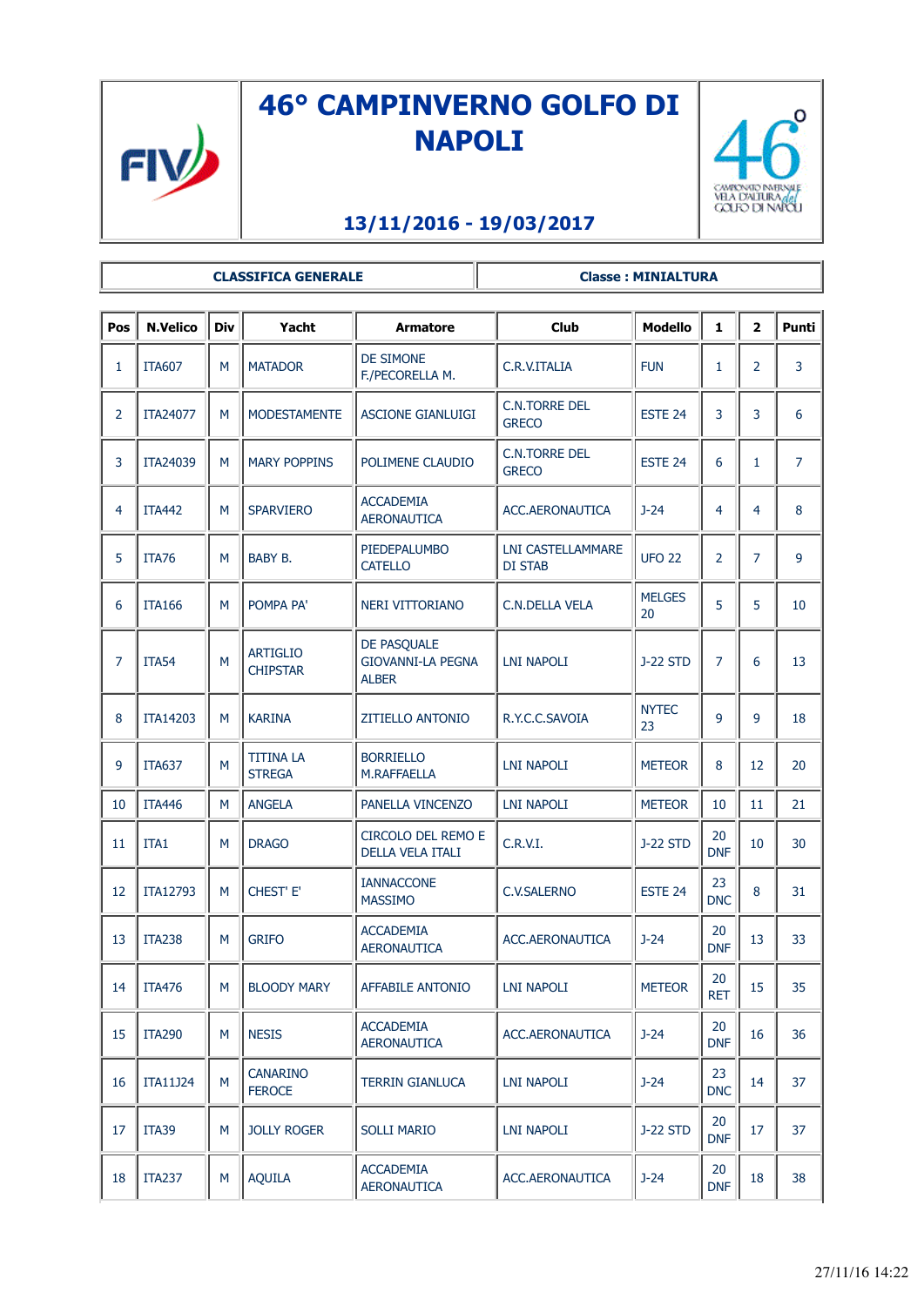

## **46° CAMPINVERNO GOLFO DI NAPOLI**



## **13/11/2016 - 19/03/2017**

**CLASSIFICA GENERALE Classe : MINIALTURA**

| Pos | <b>N.Velico</b> | <b>Div</b> | Yacht                              | <b>Armatore</b>                                         | <b>Club</b>                                | <b>Modello</b>      | $\mathbf{1}$     | $\overline{\mathbf{2}}$ | <b>Punti</b>   |
|-----|-----------------|------------|------------------------------------|---------------------------------------------------------|--------------------------------------------|---------------------|------------------|-------------------------|----------------|
| 1   | <b>ITA607</b>   | M          | <b>MATADOR</b>                     | <b>DE SIMONE</b><br>F./PECORELLA M.                     | C.R.V.ITALIA                               | <b>FUN</b>          | $\mathbf{1}$     | $\overline{2}$          | 3              |
| 2   | ITA24077        | M          | <b>MODESTAMENTE</b>                | <b>ASCIONE GIANLUIGI</b>                                | <b>C.N.TORRE DEL</b><br><b>GRECO</b>       | ESTE 24             | 3                | 3                       | 6              |
| 3   | ITA24039        | M          | <b>MARY POPPINS</b>                | POLIMENE CLAUDIO                                        | <b>C.N.TORRE DEL</b><br><b>GRECO</b>       | ESTE 24             | 6                | 1                       | $\overline{7}$ |
| 4   | <b>ITA442</b>   | M          | <b>SPARVIERO</b>                   | <b>ACCADEMIA</b><br><b>AERONAUTICA</b>                  | ACC.AERONAUTICA                            | $J - 24$            | 4                | $\overline{4}$          | 8              |
| 5   | <b>ITA76</b>    | M          | BABY B.                            | PIEDEPALUMBO<br><b>CATELLO</b>                          | <b>LNI CASTELLAMMARE</b><br><b>DI STAB</b> | <b>UFO 22</b>       | $\overline{2}$   | $\overline{7}$          | 9              |
| 6   | <b>ITA166</b>   | M          | POMPA PA'                          | <b>NERI VITTORIANO</b>                                  | <b>C.N.DELLA VELA</b>                      | <b>MELGES</b><br>20 | 5                | 5                       | 10             |
| 7   | <b>ITA54</b>    | M          | <b>ARTIGLIO</b><br><b>CHIPSTAR</b> | DE PASQUALE<br><b>GIOVANNI-LA PEGNA</b><br><b>ALBER</b> | <b>LNI NAPOLI</b>                          | <b>J-22 STD</b>     | $\overline{7}$   | 6                       | 13             |
| 8   | ITA14203        | M          | <b>KARINA</b>                      | <b>ZITIELLO ANTONIO</b>                                 | R.Y.C.C.SAVOIA                             | <b>NYTEC</b><br>23  | 9                | 9                       | 18             |
| 9   | <b>ITA637</b>   | M          | <b>TITINA LA</b><br><b>STREGA</b>  | <b>BORRIELLO</b><br>M.RAFFAELLA                         | <b>LNI NAPOLI</b>                          | <b>METEOR</b>       | 8                | 12                      | 20             |
| 10  | <b>ITA446</b>   | M          | <b>ANGELA</b>                      | PANELLA VINCENZO                                        | <b>LNI NAPOLI</b>                          | <b>METEOR</b>       | 10               | 11                      | 21             |
| 11  | ITA1            | M          | <b>DRAGO</b>                       | CIRCOLO DEL REMO E<br>DELLA VELA ITALI                  | C.R.V.I.                                   | <b>J-22 STD</b>     | 20<br><b>DNF</b> | 10                      | 30             |
| 12  | ITA12793        | M          | CHEST' E'                          | <b>IANNACCONE</b><br><b>MASSIMO</b>                     | <b>C.V.SALERNO</b>                         | ESTE <sub>24</sub>  | 23<br><b>DNC</b> | 8                       | 31             |
| 13  | <b>ITA238</b>   | M          | <b>GRIFO</b>                       | <b>ACCADEMIA</b><br><b>AERONAUTICA</b>                  | ACC.AERONAUTICA                            | $J - 24$            | 20<br><b>DNF</b> | 13                      | 33             |
| 14  | <b>ITA476</b>   | M          | <b>BLOODY MARY</b>                 | <b>AFFABILE ANTONIO</b>                                 | <b>LNI NAPOLI</b>                          | <b>METEOR</b>       | 20<br><b>RET</b> | 15                      | 35             |
| 15  | <b>ITA290</b>   | M          | <b>NESIS</b>                       | <b>ACCADEMIA</b><br><b>AERONAUTICA</b>                  | ACC.AERONAUTICA                            | $J - 24$            | 20<br><b>DNF</b> | 16                      | 36             |
| 16  | <b>ITA11J24</b> | M          | <b>CANARINO</b><br><b>FEROCE</b>   | <b>TERRIN GIANLUCA</b>                                  | <b>LNI NAPOLI</b>                          | $J-24$              | 23<br><b>DNC</b> | 14                      | 37             |
| 17  | <b>ITA39</b>    | M          | <b>JOLLY ROGER</b>                 | <b>SOLLI MARIO</b>                                      | LNI NAPOLI                                 | <b>J-22 STD</b>     | 20<br><b>DNF</b> | 17                      | 37             |
| 18  | <b>ITA237</b>   | M          | <b>AQUILA</b>                      | <b>ACCADEMIA</b><br><b>AERONAUTICA</b>                  | ACC.AERONAUTICA                            | $J - 24$            | 20<br><b>DNF</b> | 18                      | 38             |